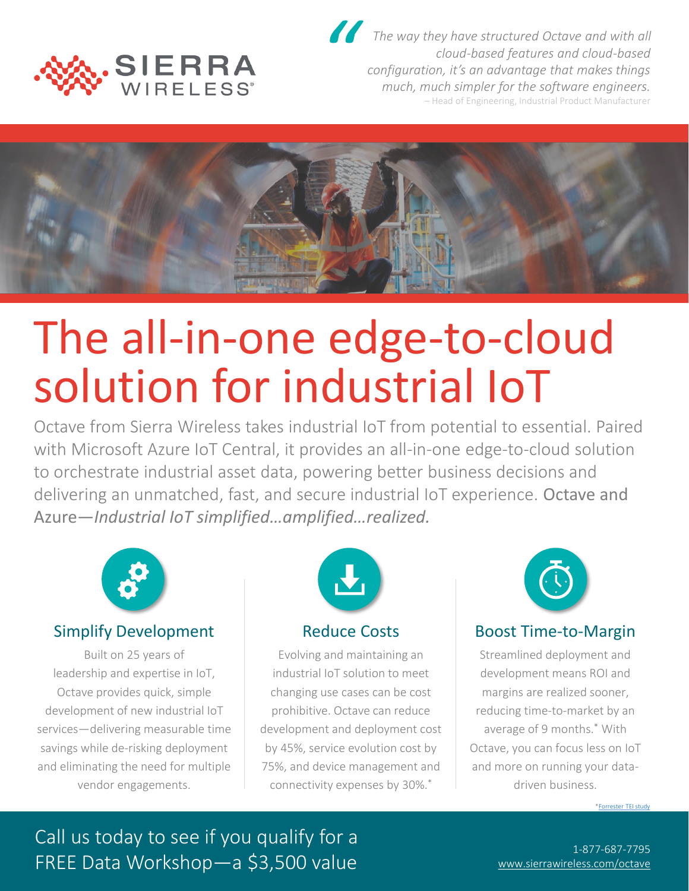

*The way they have structured Octave and with all cloud-based features and cloud-based configuration, it's an advantage that makes things much, much simpler for the software engineers.* – Head of Engineering, Industrial Product Manufacturer *"*



## The all-in-one edge-to-cloud solution for industrial IoT

Octave from Sierra Wireless takes industrial IoT from potential to essential. Paired with Microsoft Azure IoT Central, it provides an all-in-one edge-to-cloud solution to orchestrate industrial asset data, powering better business decisions and delivering an unmatched, fast, and secure industrial IoT experience. Octave and Azure—*Industrial IoT simplified…amplified…realized.* 



## Simplify Development

Built on 25 years of leadership and expertise in IoT, Octave provides quick, simple development of new industrial IoT services—delivering measurable time savings while de-risking deployment and eliminating the need for multiple vendor engagements.



#### Reduce Costs

Evolving and maintaining an industrial IoT solution to meet changing use cases can be cost prohibitive. Octave can reduce development and deployment cost by 45%, service evolution cost by 75%, and device management and connectivity expenses by 30%.\*



## Boost Time-to-Margin

Streamlined deployment and development means ROI and margins are realized sooner, reducing time-to-market by an average of 9 months.\* With Octave, you can focus less on IoT and more on running your datadriven business.

[\\*Forrester TEI study](https://www.sierrawireless.com/landing/economic-impact-octave/)

## Call us today to see if you qualify for a FREE Data Workshop—a \$3,500 value